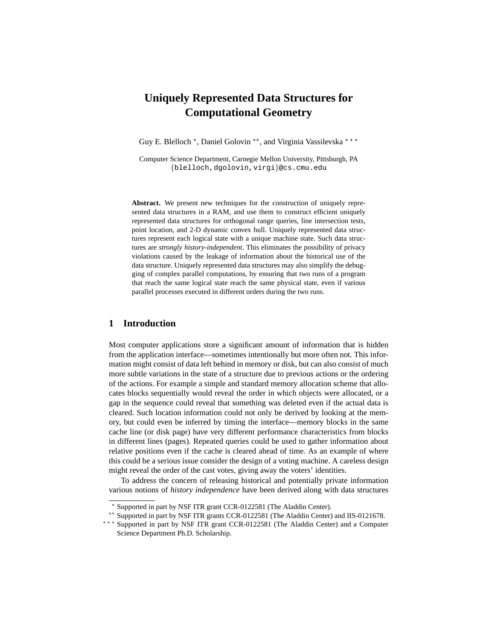# **Uniquely Represented Data Structures for Computational Geometry**

Guy E. Blelloch \*, Daniel Golovin \*\*, and Virginia Vassilevska \*\*\*

Computer Science Department, Carnegie Mellon University, Pittsburgh, PA {blelloch,dgolovin,virgi}@cs.cmu.edu

**Abstract.** We present new techniques for the construction of uniquely represented data structures in a RAM, and use them to construct efficient uniquely represented data structures for orthogonal range queries, line intersection tests, point location, and 2-D dynamic convex hull. Uniquely represented data structures represent each logical state with a unique machine state. Such data structures are *strongly history-independent*. This eliminates the possibility of privacy violations caused by the leakage of information about the historical use of the data structure. Uniquely represented data structures may also simplify the debugging of complex parallel computations, by ensuring that two runs of a program that reach the same logical state reach the same physical state, even if various parallel processes executed in different orders during the two runs.

#### **1 Introduction**

Most computer applications store a significant amount of information that is hidden from the application interface—sometimes intentionally but more often not. This information might consist of data left behind in memory or disk, but can also consist of much more subtle variations in the state of a structure due to previous actions or the ordering of the actions. For example a simple and standard memory allocation scheme that allocates blocks sequentially would reveal the order in which objects were allocated, or a gap in the sequence could reveal that something was deleted even if the actual data is cleared. Such location information could not only be derived by looking at the memory, but could even be inferred by timing the interface—memory blocks in the same cache line (or disk page) have very different performance characteristics from blocks in different lines (pages). Repeated queries could be used to gather information about relative positions even if the cache is cleared ahead of time. As an example of where this could be a serious issue consider the design of a voting machine. A careless design might reveal the order of the cast votes, giving away the voters' identities.

To address the concern of releasing historical and potentially private information various notions of *history independence* have been derived along with data structures

<sup>?</sup> Supported in part by NSF ITR grant CCR-0122581 (The Aladdin Center).

<sup>\*\*</sup> Supported in part by NSF ITR grants CCR-0122581 (The Aladdin Center) and IIS-0121678.

Supported in part by NSF ITR grant CCR-0122581 (The Aladdin Center) and a Computer Science Department Ph.D. Scholarship.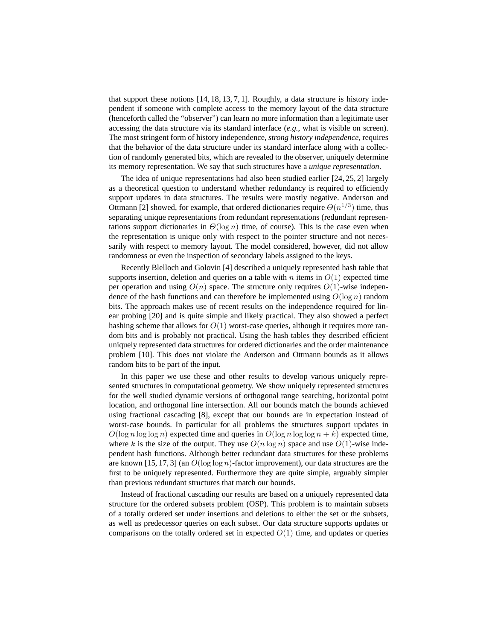that support these notions  $[14, 18, 13, 7, 1]$ . Roughly, a data structure is history independent if someone with complete access to the memory layout of the data structure (henceforth called the "observer") can learn no more information than a legitimate user accessing the data structure via its standard interface (*e.g.*, what is visible on screen). The most stringent form of history independence, *strong history independence*, requires that the behavior of the data structure under its standard interface along with a collection of randomly generated bits, which are revealed to the observer, uniquely determine its memory representation. We say that such structures have a *unique representation*.

The idea of unique representations had also been studied earlier [24, 25, 2] largely as a theoretical question to understand whether redundancy is required to efficiently support updates in data structures. The results were mostly negative. Anderson and Ottmann [2] showed, for example, that ordered dictionaries require  $\Theta(n^{1/3})$  time, thus separating unique representations from redundant representations (redundant representations support dictionaries in  $\Theta(\log n)$  time, of course). This is the case even when the representation is unique only with respect to the pointer structure and not necessarily with respect to memory layout. The model considered, however, did not allow randomness or even the inspection of secondary labels assigned to the keys.

Recently Blelloch and Golovin [4] described a uniquely represented hash table that supports insertion, deletion and queries on a table with n items in  $O(1)$  expected time per operation and using  $O(n)$  space. The structure only requires  $O(1)$ -wise independence of the hash functions and can therefore be implemented using  $O(\log n)$  random bits. The approach makes use of recent results on the independence required for linear probing [20] and is quite simple and likely practical. They also showed a perfect hashing scheme that allows for  $O(1)$  worst-case queries, although it requires more random bits and is probably not practical. Using the hash tables they described efficient uniquely represented data structures for ordered dictionaries and the order maintenance problem [10]. This does not violate the Anderson and Ottmann bounds as it allows random bits to be part of the input.

In this paper we use these and other results to develop various uniquely represented structures in computational geometry. We show uniquely represented structures for the well studied dynamic versions of orthogonal range searching, horizontal point location, and orthogonal line intersection. All our bounds match the bounds achieved using fractional cascading [8], except that our bounds are in expectation instead of worst-case bounds. In particular for all problems the structures support updates in  $O(\log n \log \log n)$  expected time and queries in  $O(\log n \log \log n + k)$  expected time, where k is the size of the output. They use  $O(n \log n)$  space and use  $O(1)$ -wise independent hash functions. Although better redundant data structures for these problems are known [15, 17, 3] (an  $O(\log \log n)$ -factor improvement), our data structures are the first to be uniquely represented. Furthermore they are quite simple, arguably simpler than previous redundant structures that match our bounds.

Instead of fractional cascading our results are based on a uniquely represented data structure for the ordered subsets problem (OSP). This problem is to maintain subsets of a totally ordered set under insertions and deletions to either the set or the subsets, as well as predecessor queries on each subset. Our data structure supports updates or comparisons on the totally ordered set in expected  $O(1)$  time, and updates or queries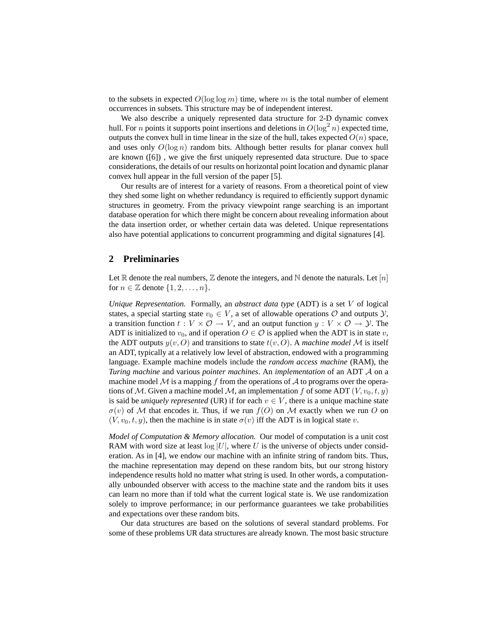to the subsets in expected  $O(\log \log m)$  time, where m is the total number of element occurrences in subsets. This structure may be of independent interest.

We also describe a uniquely represented data structure for 2-D dynamic convex hull. For *n* points it supports point insertions and deletions in  $O(\log^2 n)$  expected time, outputs the convex hull in time linear in the size of the hull, takes expected  $O(n)$  space, and uses only  $O(\log n)$  random bits. Although better results for planar convex hull are known ([6]) , we give the first uniquely represented data structure. Due to space considerations, the details of our results on horizontal point location and dynamic planar convex hull appear in the full version of the paper [5].

Our results are of interest for a variety of reasons. From a theoretical point of view they shed some light on whether redundancy is required to efficiently support dynamic structures in geometry. From the privacy viewpoint range searching is an important database operation for which there might be concern about revealing information about the data insertion order, or whether certain data was deleted. Unique representations also have potential applications to concurrent programming and digital signatures [4].

### **2 Preliminaries**

Let R denote the real numbers,  $\mathbb Z$  denote the integers, and N denote the naturals. Let  $[n]$ for  $n \in \mathbb{Z}$  denote  $\{1, 2, \ldots, n\}.$ 

*Unique Representation.* Formally, an *abstract data type* (ADT) is a set V of logical states, a special starting state  $v_0 \in V$ , a set of allowable operations  $O$  and outputs  $Y$ , a transition function  $t : V \times O \to V$ , and an output function  $y : V \times O \to V$ . The ADT is initialized to  $v_0$ , and if operation  $O \in \mathcal{O}$  is applied when the ADT is in state  $v$ , the ADT outputs  $y(v, O)$  and transitions to state  $t(v, O)$ . A *machine model* M is itself an ADT, typically at a relatively low level of abstraction, endowed with a programming language. Example machine models include the *random access machine* (RAM), the *Turing machine* and various *pointer machines*. An *implementation* of an ADT A on a machine model  $\mathcal M$  is a mapping f from the operations of  $\mathcal A$  to programs over the operations of M. Given a machine model M, an implementation f of some ADT  $(V, v_0, t, y)$ is said be *uniquely represented* (UR) if for each  $v \in V$ , there is a unique machine state  $\sigma(v)$  of M that encodes it. Thus, if we run  $f(0)$  on M exactly when we run O on  $(V, v_0, t, y)$ , then the machine is in state  $\sigma(v)$  iff the ADT is in logical state v.

*Model of Computation & Memory allocation.* Our model of computation is a unit cost RAM with word size at least  $log |U|$ , where U is the universe of objects under consideration. As in [4], we endow our machine with an infinite string of random bits. Thus, the machine representation may depend on these random bits, but our strong history independence results hold no matter what string is used. In other words, a computationally unbounded observer with access to the machine state and the random bits it uses can learn no more than if told what the current logical state is. We use randomization solely to improve performance; in our performance guarantees we take probabilities and expectations over these random bits.

Our data structures are based on the solutions of several standard problems. For some of these problems UR data structures are already known. The most basic structure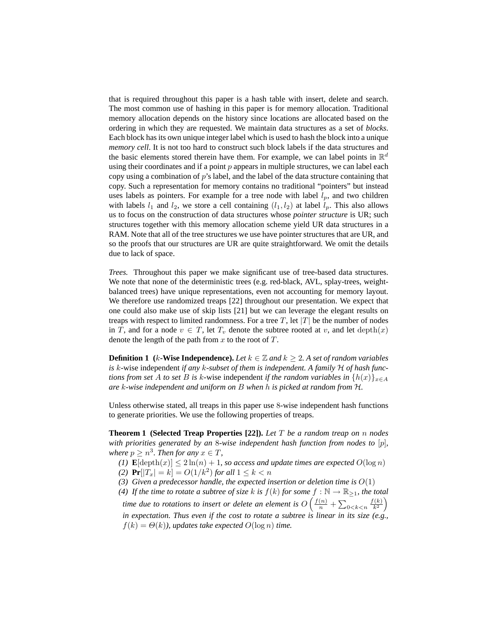that is required throughout this paper is a hash table with insert, delete and search. The most common use of hashing in this paper is for memory allocation. Traditional memory allocation depends on the history since locations are allocated based on the ordering in which they are requested. We maintain data structures as a set of *blocks*. Each block has its own unique integer label which is used to hash the block into a unique *memory cell*. It is not too hard to construct such block labels if the data structures and the basic elements stored therein have them. For example, we can label points in  $\mathbb{R}^d$ using their coordinates and if a point  $p$  appears in multiple structures, we can label each copy using a combination of  $p$ 's label, and the label of the data structure containing that copy. Such a representation for memory contains no traditional "pointers" but instead uses labels as pointers. For example for a tree node with label  $l_p$ , and two children with labels  $l_1$  and  $l_2$ , we store a cell containing  $(l_1, l_2)$  at label  $l_p$ . This also allows us to focus on the construction of data structures whose *pointer structure* is UR; such structures together with this memory allocation scheme yield UR data structures in a RAM. Note that all of the tree structures we use have pointer structures that are UR, and so the proofs that our structures are UR are quite straightforward. We omit the details due to lack of space.

*Trees.* Throughout this paper we make significant use of tree-based data structures. We note that none of the deterministic trees (e.g. red-black, AVL, splay-trees, weightbalanced trees) have unique representations, even not accounting for memory layout. We therefore use randomized treaps [22] throughout our presentation. We expect that one could also make use of skip lists [21] but we can leverage the elegant results on treaps with respect to limited randomness. For a tree T, let  $|T|$  be the number of nodes in T, and for a node  $v \in T$ , let  $T_v$  denote the subtree rooted at v, and let depth $(x)$ denote the length of the path from  $x$  to the root of  $T$ .

**Definition 1** ( $k$ -Wise Independence). Let  $k \in \mathbb{Z}$  and  $k \geq 2$ . A set of random variables is k-wise independent *if any* k-subset of them is independent. A family H of hash func*tions from set* A *to set* B *is* k-wise independent *if the random variables in*  $\{h(x)\}_{x \in A}$ *are* k*-wise independent and uniform on* B *when* h *is picked at random from* H*.*

Unless otherwise stated, all treaps in this paper use 8-wise independent hash functions to generate priorities. We use the following properties of treaps.

**Theorem 1 (Selected Treap Properties [22]).** *Let* T *be a random treap on* n *nodes with priorities generated by an* 8*-wise independent hash function from nodes to* [p]*,* where  $p \geq n^3$ . Then for any  $x \in T$ ,

*(1)*  $\mathbf{E}[\text{depth}(x)] \leq 2\ln(n) + 1$ *, so access and update times are expected*  $O(\log n)$ *(2)*  $Pr[|T_x| = k] = O(1/k^2)$  *for all*  $1 \le k < n$ 

(3) Given a predecessor handle, the expected insertion or deletion time is  $O(1)$ 

*(4) If the time to rotate a subtree of size k is*  $f(k)$  *for some*  $f : \mathbb{N} \to \mathbb{R}_{\geq 1}$ *, the total* time due to rotations to insert or delete an element is  $O\left(\frac{f(n)}{n} + \sum_{0 < k < n} \frac{f(k)}{k^2}\right)$ *in expectation. Thus even if the cost to rotate a subtree is linear in its size (e.g.,*  $f(k) = \Theta(k)$ , updates take expected  $O(\log n)$  time.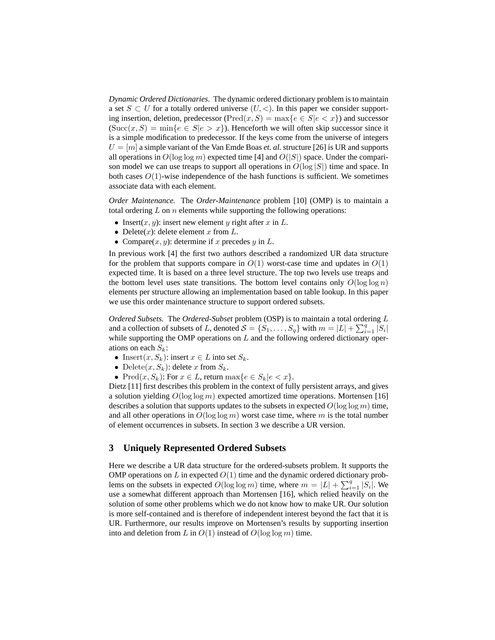*Dynamic Ordered Dictionaries.* The dynamic ordered dictionary problem is to maintain a set  $S \subset U$  for a totally ordered universe  $(U, \leq)$ . In this paper we consider supporting insertion, deletion, predecessor (Pred $(x, S) = \max\{e \in S | e < x\}$ ) and successor  $(\text{Succ}(x, S) = \min\{e \in S | e > x\})$ . Henceforth we will often skip successor since it is a simple modification to predecessor. If the keys come from the universe of integers  $U = [m]$  a simple variant of the Van Emde Boas *et. al.* structure [26] is UR and supports all operations in  $O(\log \log m)$  expected time [4] and  $O(|S|)$  space. Under the comparison model we can use treaps to support all operations in  $O(\log |S|)$  time and space. In both cases  $O(1)$ -wise independence of the hash functions is sufficient. We sometimes associate data with each element.

*Order Maintenance.* The *Order-Maintenance* problem [10] (OMP) is to maintain a total ordering  $L$  on  $n$  elements while supporting the following operations:

- Insert $(x, y)$ : insert new element y right after x in L.
- Delete $(x)$ : delete element x from L.
- Compare $(x, y)$ : determine if x precedes y in L.

In previous work [4] the first two authors described a randomized UR data structure for the problem that supports compare in  $O(1)$  worst-case time and updates in  $O(1)$ expected time. It is based on a three level structure. The top two levels use treaps and the bottom level uses state transitions. The bottom level contains only  $O(\log \log n)$ elements per structure allowing an implementation based on table lookup. In this paper we use this order maintenance structure to support ordered subsets.

*Ordered Subsets.* The *Ordered-Subset* problem (OSP) is to maintain a total ordering L and a collection of subsets of L, denoted  $S = \{S_1, \ldots, S_q\}$  with  $m = |L| + \sum_{i=1}^q |S_i|$ while supporting the OMP operations on  $L$  and the following ordered dictionary operations on each  $S_k$ :

- Insert $(x, S_k)$ : insert  $x \in L$  into set  $S_k$ .
- Delete $(x, S_k)$ : delete x from  $S_k$ .
- Pred $(x, S_k)$ : For  $x \in L$ , return max $\{e \in S_k | e < x\}$ .

Dietz [11] first describes this problem in the context of fully persistent arrays, and gives a solution yielding  $O(\log \log m)$  expected amortized time operations. Mortensen [16] describes a solution that supports updates to the subsets in expected  $O(\log \log m)$  time, and all other operations in  $O(\log \log m)$  worst case time, where m is the total number of element occurrences in subsets. In section 3 we describe a UR version.

## **3 Uniquely Represented Ordered Subsets**

Here we describe a UR data structure for the ordered-subsets problem. It supports the OMP operations on  $L$  in expected  $O(1)$  time and the dynamic ordered dictionary problems on the subsets in expected  $O(\log \log m)$  time, where  $m = |L| + \sum_{i=1}^{q} |S_i|$ . We use a somewhat different approach than Mortensen [16], which relied heavily on the solution of some other problems which we do not know how to make UR. Our solution is more self-contained and is therefore of independent interest beyond the fact that it is UR. Furthermore, our results improve on Mortensen's results by supporting insertion into and deletion from L in  $O(1)$  instead of  $O(\log \log m)$  time.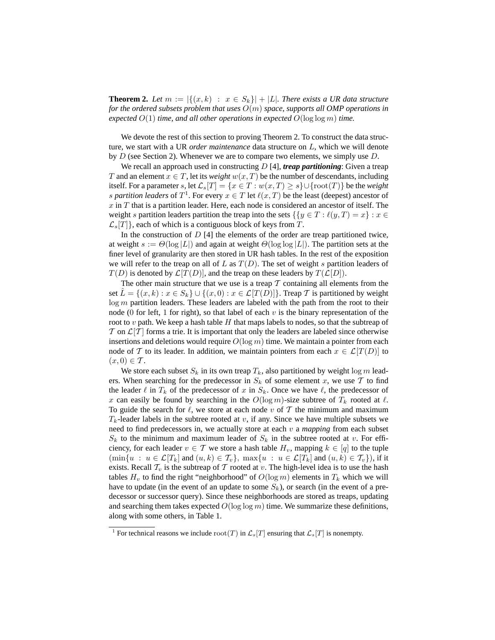**Theorem 2.** Let  $m := |\{(x, k) : x \in S_k\}| + |L|$ . There exists a UR data structure *for the ordered subsets problem that uses* O(m) *space, supports all OMP operations in expected* O(1) *time, and all other operations in expected* O(log log m) *time.*

We devote the rest of this section to proving Theorem 2. To construct the data structure, we start with a UR *order maintenance* data structure on L, which we will denote by  $D$  (see Section 2). Whenever we are to compare two elements, we simply use  $D$ .

We recall an approach used in constructing D [4], *treap partitioning*: Given a treap T and an element  $x \in T$ , let its *weight*  $w(x,T)$  be the number of descendants, including itself. For a parameter s, let  $\mathcal{L}_s[T] = \{x \in T : w(x,T) \geq s\} \cup \{\text{root}(T)\}\$  be the *weight* s partition leaders of  $T^1$ . For every  $x \in T$  let  $\ell(x, T)$  be the least (deepest) ancestor of  $x$  in  $T$  that is a partition leader. Here, each node is considered an ancestor of itself. The weight s partition leaders partition the treap into the sets  $\{y \in T : \ell(y, T) = x\} : x \in$  $\mathcal{L}_s[T]$ , each of which is a contiguous block of keys from T.

In the construction of  $D \left[ 4 \right]$  the elements of the order are treap partitioned twice, at weight  $s := \Theta(\log |L|)$  and again at weight  $\Theta(\log \log |L|)$ . The partition sets at the finer level of granularity are then stored in UR hash tables. In the rest of the exposition we will refer to the treap on all of L as  $T(D)$ . The set of weight s partition leaders of  $T(D)$  is denoted by  $\mathcal{L}[T(D)]$ , and the treap on these leaders by  $T(\mathcal{L}[D])$ .

The other main structure that we use is a treap  $T$  containing all elements from the set  $\hat{L} = \{(x, k) : x \in S_k\} \cup \{(x, 0) : x \in \mathcal{L}[T(D)]\}$ . Treap  $\mathcal T$  is partitioned by weight  $log m$  partition leaders. These leaders are labeled with the path from the root to their node (0 for left, 1 for right), so that label of each v is the binary representation of the root to v path. We keep a hash table H that maps labels to nodes, so that the subtreap of  $\mathcal T$  on  $\mathcal L[\mathcal T]$  forms a trie. It is important that only the leaders are labeled since otherwise insertions and deletions would require  $O(\log m)$  time. We maintain a pointer from each node of T to its leader. In addition, we maintain pointers from each  $x \in \mathcal{L}[T(D)]$  to  $(x, 0) \in \mathcal{T}$ .

We store each subset  $S_k$  in its own treap  $T_k$ , also partitioned by weight  $\log m$  leaders. When searching for the predecessor in  $S_k$  of some element x, we use T to find the leader  $\ell$  in  $T_k$  of the predecessor of x in  $S_k$ . Once we have  $\ell$ , the predecessor of x can easily be found by searching in the  $O(\log m)$ -size subtree of  $T_k$  rooted at  $\ell$ . To guide the search for  $\ell$ , we store at each node v of T the minimum and maximum  $T_k$ -leader labels in the subtree rooted at v, if any. Since we have multiple subsets we need to find predecessors in, we actually store at each v a *mapping* from each subset  $S_k$  to the minimum and maximum leader of  $S_k$  in the subtree rooted at v. For efficiency, for each leader  $v \in \mathcal{T}$  we store a hash table  $H_v$ , mapping  $k \in [q]$  to the tuple  $(\min\{u : u \in \mathcal{L}[T_k] \text{ and } (u,k) \in \mathcal{T}_v\}, \max\{u : u \in \mathcal{L}[T_k] \text{ and } (u,k) \in \mathcal{T}_v\}),\text{ if it }$ exists. Recall  $\mathcal{T}_v$  is the subtreap of  $\mathcal T$  rooted at v. The high-level idea is to use the hash tables  $H_v$  to find the right "neighborhood" of  $O(\log m)$  elements in  $T_k$  which we will have to update (in the event of an update to some  $S_k$ ), or search (in the event of a predecessor or successor query). Since these neighborhoods are stored as treaps, updating and searching them takes expected  $O(\log \log m)$  time. We summarize these definitions, along with some others, in Table 1.

<sup>&</sup>lt;sup>1</sup> For technical reasons we include  $\text{root}(T)$  in  $\mathcal{L}_s[T]$  ensuring that  $\mathcal{L}_s[T]$  is nonempty.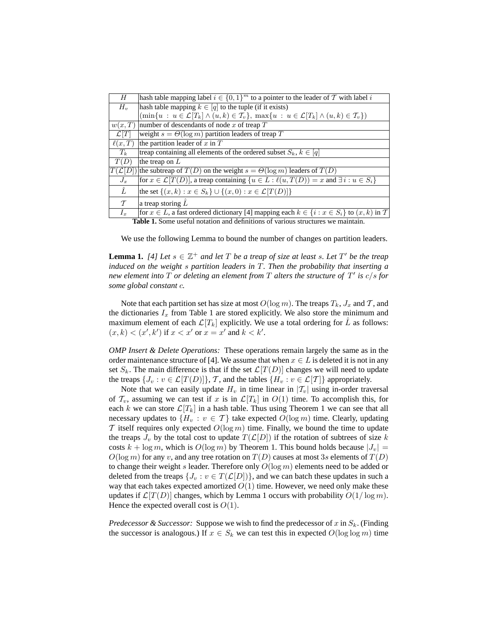| Н                     | hash table mapping label $i \in \{0,1\}^m$ to a pointer to the leader of T with label i                                                  |
|-----------------------|------------------------------------------------------------------------------------------------------------------------------------------|
| $H_v$                 | hash table mapping $k \in [q]$ to the tuple (if it exists)                                                                               |
|                       | $(\min\{u : u \in \mathcal{L}[T_k] \wedge (u,k) \in \mathcal{T}_v\}, \max\{u : u \in \mathcal{L}[T_k] \wedge (u,k) \in \mathcal{T}_v\})$ |
| w(x,T)                | number of descendants of node $x$ of treap $T$                                                                                           |
| $\mathcal{L}[T]$      | weight $s = \Theta(\log m)$ partition leaders of treap T                                                                                 |
| $\ell(x,T)$           | the partition leader of $x$ in $T$                                                                                                       |
| $T_k$                 | treap containing all elements of the ordered subset $S_k, k \in [q]$                                                                     |
| T(D)                  | the treap on $L$                                                                                                                         |
| $ T(\mathcal{L}[D] )$ | the subtreap of $T(D)$ on the weight $s = \Theta(\log m)$ leaders of $T(D)$                                                              |
| $J_x$                 | for $x \in \mathcal{L}[T(D)]$ , a treap containing $\{u \in L : \ell(u,T(D)) = x \text{ and } \exists i : u \in S_i\}$                   |
| Ĺ                     | the set $\{(x,k): x \in S_k\} \cup \{(x,0): x \in \mathcal{L}[T(D)]\}$                                                                   |
| $\tau$                | a treap storing $\hat{L}$                                                                                                                |
| $I_r$                 | for $x \in L$ , a fast ordered dictionary [4] mapping each $k \in \{i : x \in S_i\}$ to $(x, k)$ in T                                    |
|                       | Toble 1. Come useful notation and definitions of various structures we maintain                                                          |

**Table 1.** Some useful notation and definitions of various structures we maintain.

We use the following Lemma to bound the number of changes on partition leaders.

**Lemma 1.** [4] Let  $s \in \mathbb{Z}^+$  and let T be a treap of size at least s. Let T' be the treap *induced on the weight* s *partition leaders in* T*. Then the probability that inserting a new element into* T *or deleting an element from* T *alters the structure of* T 0 *is* c/s *for some global constant* c*.*

Note that each partition set has size at most  $O(\log m)$ . The treaps  $T_k$ ,  $J_x$  and  $\mathcal T$ , and the dictionaries  $I_x$  from Table 1 are stored explicitly. We also store the minimum and maximum element of each  $\mathcal{L}[T_k]$  explicitly. We use a total ordering for  $\tilde{L}$  as follows:  $(x, k) < (x', k')$  if  $x < x'$  or  $x = x'$  and  $k < k'$ .

*OMP Insert & Delete Operations:* These operations remain largely the same as in the order maintenance structure of [4]. We assume that when  $x \in L$  is deleted it is not in any set  $S_k$ . The main difference is that if the set  $\mathcal{L}[T(D)]$  changes we will need to update the treaps  $\{J_v : v \in \mathcal{L}[T(D)]\}$ ,  $\mathcal{T}$ , and the tables  $\{H_v : v \in \mathcal{L}[T]\}$  appropriately.

Note that we can easily update  $H_v$  in time linear in  $|\mathcal{T}_v|$  using in-order traversal of  $\mathcal{T}_v$ , assuming we can test if x is in  $\mathcal{L}[T_k]$  in  $O(1)$  time. To accomplish this, for each k we can store  $\mathcal{L}[T_k]$  in a hash table. Thus using Theorem 1 we can see that all necessary updates to  $\{H_v : v \in \mathcal{T}\}\$  take expected  $O(\log m)$  time. Clearly, updating T itself requires only expected  $O(\log m)$  time. Finally, we bound the time to update the treaps  $J_v$  by the total cost to update  $T(\mathcal{L}[D])$  if the rotation of subtrees of size k costs  $k + \log m$ , which is  $O(\log m)$  by Theorem 1. This bound holds because  $|J_v|$  =  $O(\log m)$  for any v, and any tree rotation on  $T(D)$  causes at most 3s elements of  $T(D)$ to change their weight s leader. Therefore only  $O(\log m)$  elements need to be added or deleted from the treaps  $\{J_v : v \in T(\mathcal{L}[D])\}$ , and we can batch these updates in such a way that each takes expected amortized  $O(1)$  time. However, we need only make these updates if  $\mathcal{L}[T(D)]$  changes, which by Lemma 1 occurs with probability  $O(1/\log m)$ . Hence the expected overall cost is  $O(1)$ .

*Predecessor & Successor:* Suppose we wish to find the predecessor of x in  $S_k$ . (Finding the successor is analogous.) If  $x \in S_k$  we can test this in expected  $O(\log \log m)$  time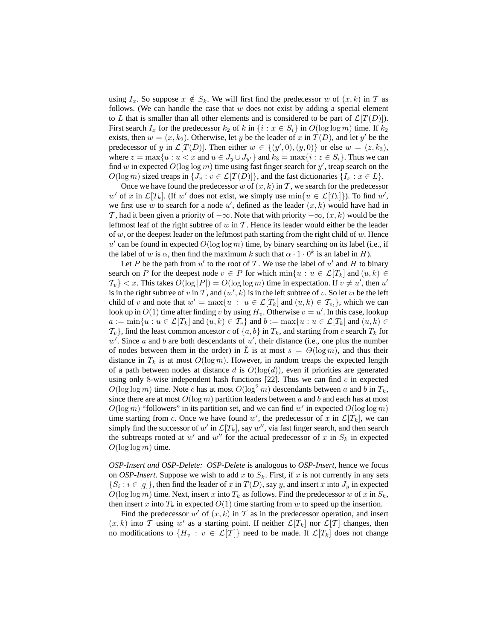using  $I_x$ . So suppose  $x \notin S_k$ . We will first find the predecessor w of  $(x, k)$  in T as follows. (We can handle the case that  $w$  does not exist by adding a special element to L that is smaller than all other elements and is considered to be part of  $\mathcal{L}[T(D)]$ . First search  $I_x$  for the predecessor  $k_2$  of k in  $\{i : x \in S_i\}$  in  $O(\log \log m)$  time. If  $k_2$ exists, then  $w = (x, k_2)$ . Otherwise, let y be the leader of x in  $T(D)$ , and let y' be the predecessor of y in  $\mathcal{L}[T(D)]$ . Then either  $w \in \{(y', 0), (y, 0)\}$  or else  $w = (z, k_3)$ , where  $z = \max\{u : u < x \text{ and } u \in J_u \cup J_{u'}\}$  and  $k_3 = \max\{i : z \in S_i\}$ . Thus we can find w in expected  $O(\log \log m)$  time using fast finger search for y', treap search on the  $O(\log m)$  sized treaps in  $\{J_v : v \in \mathcal{L}[T(D)]\}$ , and the fast dictionaries  $\{I_x : x \in L\}$ .

Once we have found the predecessor w of  $(x, k)$  in T, we search for the predecessor w' of x in  $\mathcal{L}[T_k]$ . (If w' does not exist, we simply use  $\min\{u \in \mathcal{L}[T_k]\}\)$ . To find w', we first use w to search for a node  $u'$ , defined as the leader  $(x, k)$  would have had in T, had it been given a priority of  $-\infty$ . Note that with priority  $-\infty$ ,  $(x, k)$  would be the leftmost leaf of the right subtree of  $w$  in  $T$ . Hence its leader would either be the leader of  $w$ , or the deepest leader on the leftmost path starting from the right child of  $w$ . Hence u' can be found in expected  $O(\log \log m)$  time, by binary searching on its label (i.e., if the label of w is  $\alpha$ , then find the maximum k such that  $\alpha \cdot 1 \cdot 0^k$  is an label in H).

Let P be the path from  $u'$  to the root of T. We use the label of  $u'$  and H to binary search on P for the deepest node  $v \in P$  for which  $\min\{u : u \in \mathcal{L}[T_k] \text{ and } (u,k) \in$  $\{\mathcal{T}_v\} < x$ . This takes  $O(\log |P|) = O(\log \log m)$  time in expectation. If  $v \neq u'$ , then  $u'$ is in the right subtree of v in T, and  $(w', k)$  is in the left subtree of v. So let  $v_l$  be the left child of v and note that  $w' = \max\{u : u \in \mathcal{L}[T_k] \text{ and } (u, k) \in \mathcal{T}_{v_l}\}\)$ , which we can look up in  $O(1)$  time after finding v by using  $H_v$ . Otherwise  $v = u'$ . In this case, lookup  $a := \min\{u : u \in \mathcal{L}[T_k] \text{ and } (u, k) \in \mathcal{T}_v\}$  and  $b := \max\{u : u \in \mathcal{L}[T_k] \text{ and } (u, k) \in \mathcal{T}_v\}$  $\{\tau_v\}$ , find the least common ancestor c of  $\{a, b\}$  in  $T_k$ , and starting from c search  $T_k$  for  $w'$ . Since a and b are both descendants of  $u'$ , their distance (i.e., one plus the number of nodes between them in the order) in  $\tilde{L}$  is at most  $s = \Theta(\log m)$ , and thus their distance in  $T_k$  is at most  $O(\log m)$ . However, in random treaps the expected length of a path between nodes at distance d is  $O(log(d))$ , even if priorities are generated using only 8-wise independent hash functions  $[22]$ . Thus we can find c in expected  $O(\log \log m)$  time. Note c has at most  $O(\log^2 m)$  descendants between a and b in  $T_k$ , since there are at most  $O(\log m)$  partition leaders between a and b and each has at most  $O(\log m)$  "followers" in its partition set, and we can find w' in expected  $O(\log \log m)$ time starting from c. Once we have found w', the predecessor of x in  $\mathcal{L}[T_k]$ , we can simply find the successor of w' in  $\mathcal{L}[T_k]$ , say w'', via fast finger search, and then search the subtreaps rooted at w' and w'' for the actual predecessor of x in  $S_k$  in expected  $O(\log \log m)$  time.

*OSP-Insert and OSP-Delete: OSP-Delete* is analogous to *OSP-Insert*, hence we focus on *OSP-Insert*. Suppose we wish to add x to  $S_k$ . First, if x is not currently in any sets  $\{S_i : i \in [q]\}$ , then find the leader of x in  $T(D)$ , say y, and insert x into  $J_y$  in expected  $O(\log \log m)$  time. Next, insert x into  $T_k$  as follows. Find the predecessor w of x in  $S_k$ , then insert x into  $T_k$  in expected  $O(1)$  time starting from w to speed up the insertion.

Find the predecessor w' of  $(x, k)$  in T as in the predecessor operation, and insert  $(x, k)$  into T using w' as a starting point. If neither  $\mathcal{L}[T_k]$  nor  $\mathcal{L}[T]$  changes, then no modifications to  $\{H_v : v \in \mathcal{L}[T]\}$  need to be made. If  $\mathcal{L}[T_k]$  does not change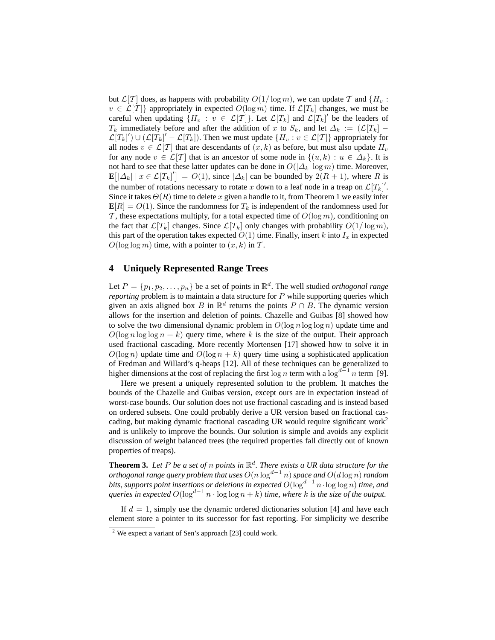but  $\mathcal{L}[T]$  does, as happens with probability  $O(1/\log m)$ , we can update T and  $\{H_u:$  $v \in \mathcal{L}[T]$  appropriately in expected  $O(\log m)$  time. If  $\mathcal{L}[T_k]$  changes, we must be careful when updating  $\{H_v : v \in \mathcal{L}[T]\}$ . Let  $\mathcal{L}[T_k]$  and  $\mathcal{L}[T_k]'$  be the leaders of  $T_k$  immediately before and after the addition of x to  $S_k$ , and let  $\Delta_k := (\mathcal{L}[T_k])$  –  $\mathcal{L}[T_k]'\cup (\mathcal{L}[T_k]'-\mathcal{L}[T_k])$ . Then we must update  $\{H_v : v \in \mathcal{L}[T]\}$  appropriately for all nodes  $v \in \mathcal{L}[\mathcal{T}]$  that are descendants of  $(x, k)$  as before, but must also update  $H_v$ for any node  $v \in \mathcal{L}[T]$  that is an ancestor of some node in  $\{(u, k) : u \in \Delta_k\}$ . It is not hard to see that these latter updates can be done in  $O(|\Delta_k| \log m)$  time. Moreover,  $\mathbf{E}[\Delta_k | x \in \mathcal{L}[T_k]'] = O(1)$ , since  $|\Delta_k|$  can be bounded by  $2(R+1)$ , where R is the number of rotations necessary to rotate x down to a leaf node in a treap on  $\mathcal{L}[T_k]'$ . Since it takes  $\Theta(R)$  time to delete x given a handle to it, from Theorem 1 we easily infer  $\mathbf{E}[R] = O(1)$ . Since the randomness for  $T_k$  is independent of the randomness used for T, these expectations multiply, for a total expected time of  $O(\log m)$ , conditioning on the fact that  $\mathcal{L}[T_k]$  changes. Since  $\mathcal{L}[T_k]$  only changes with probability  $O(1/\log m)$ , this part of the operation takes expected  $O(1)$  time. Finally, insert k into  $I_x$  in expected  $O(\log \log m)$  time, with a pointer to  $(x, k)$  in T.

### **4 Uniquely Represented Range Trees**

Let  $P = \{p_1, p_2, \dots, p_n\}$  be a set of points in  $\mathbb{R}^d$ . The well studied *orthogonal range reporting* problem is to maintain a data structure for P while supporting queries which given an axis aligned box B in  $\mathbb{R}^d$  returns the points  $P \cap B$ . The dynamic version allows for the insertion and deletion of points. Chazelle and Guibas [8] showed how to solve the two dimensional dynamic problem in  $O(\log n \log \log n)$  update time and  $O(\log n \log \log n + k)$  query time, where k is the size of the output. Their approach used fractional cascading. More recently Mortensen [17] showed how to solve it in  $O(\log n)$  update time and  $O(\log n + k)$  query time using a sophisticated application of Fredman and Willard's q-heaps [12]. All of these techniques can be generalized to higher dimensions at the cost of replacing the first  $\log n$  term with a  $\log^{d-1} n$  term [9].

Here we present a uniquely represented solution to the problem. It matches the bounds of the Chazelle and Guibas version, except ours are in expectation instead of worst-case bounds. Our solution does not use fractional cascading and is instead based on ordered subsets. One could probably derive a UR version based on fractional cascading, but making dynamic fractional cascading UR would require significant work<sup>2</sup> and is unlikely to improve the bounds. Our solution is simple and avoids any explicit discussion of weight balanced trees (the required properties fall directly out of known properties of treaps).

**Theorem 3.** Let P be a set of n points in  $\mathbb{R}^d$ . There exists a UR data structure for the *orthogonal range query problem that uses* O(n log<sup>d</sup>−<sup>1</sup> n) *space and* O(d log n) *random bits, supports point insertions or deletions in expected O(* $\log^{d-1} n \cdot \log \log n)$  *time, and queries in expected*  $O(\log^{d-1} n \cdot \log \log n + k)$  *time, where k is the size of the output.* 

If  $d = 1$ , simply use the dynamic ordered dictionaries solution [4] and have each element store a pointer to its successor for fast reporting. For simplicity we describe

 $2$  We expect a variant of Sen's approach [23] could work.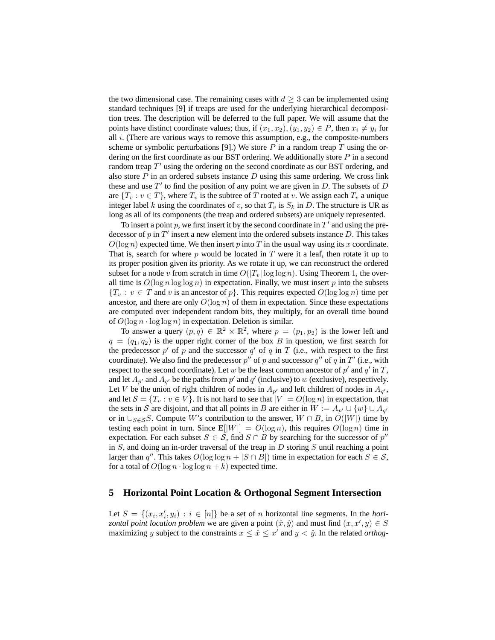the two dimensional case. The remaining cases with  $d \geq 3$  can be implemented using standard techniques [9] if treaps are used for the underlying hierarchical decomposition trees. The description will be deferred to the full paper. We will assume that the points have distinct coordinate values; thus, if  $(x_1, x_2), (y_1, y_2) \in P$ , then  $x_i \neq y_i$  for all  $i$ . (There are various ways to remove this assumption, e.g., the composite-numbers scheme or symbolic perturbations [9].) We store  $P$  in a random treap  $T$  using the ordering on the first coordinate as our BST ordering. We additionally store  $P$  in a second random treap  $T'$  using the ordering on the second coordinate as our BST ordering, and also store  $P$  in an ordered subsets instance  $D$  using this same ordering. We cross link these and use  $T'$  to find the position of any point we are given in  $D$ . The subsets of  $D$ are  $\{T_v : v \in T\}$ , where  $T_v$  is the subtree of T rooted at v. We assign each  $T_v$  a unique integer label k using the coordinates of v, so that  $T_v$  is  $S_k$  in D. The structure is UR as long as all of its components (the treap and ordered subsets) are uniquely represented.

To insert a point p, we first insert it by the second coordinate in  $T'$  and using the predecessor of p in  $T'$  insert a new element into the ordered subsets instance D. This takes  $O(\log n)$  expected time. We then insert p into T in the usual way using its x coordinate. That is, search for where  $p$  would be located in  $T$  were it a leaf, then rotate it up to its proper position given its priority. As we rotate it up, we can reconstruct the ordered subset for a node v from scratch in time  $O(|T_v| \log \log n)$ . Using Theorem 1, the overall time is  $O(\log n \log \log n)$  in expectation. Finally, we must insert p into the subsets  ${T<sub>v</sub> : v \in T$  and v is an ancestor of p. This requires expected  $O(\log \log n)$  time per ancestor, and there are only  $O(\log n)$  of them in expectation. Since these expectations are computed over independent random bits, they multiply, for an overall time bound of  $O(\log n \cdot \log \log n)$  in expectation. Deletion is similar.

To answer a query  $(p, q) \in \mathbb{R}^2 \times \mathbb{R}^2$ , where  $p = (p_1, p_2)$  is the lower left and  $q = (q_1, q_2)$  is the upper right corner of the box B in question, we first search for the predecessor  $p'$  of p and the successor  $q'$  of q in T (i.e., with respect to the first coordinate). We also find the predecessor  $p''$  of p and successor  $q''$  of q in T' (i.e., with respect to the second coordinate). Let w be the least common ancestor of  $p'$  and  $q'$  in  $T$ , and let  $A_{p'}$  and  $A_{q'}$  be the paths from  $p'$  and  $q'$  (inclusive) to w (exclusive), respectively. Let V be the union of right children of nodes in  $A_{p'}$  and left children of nodes in  $A_{q'}$ , and let  $S = \{T_v : v \in V\}$ . It is not hard to see that  $|V| = O(\log n)$  in expectation, that the sets in S are disjoint, and that all points in B are either in  $W := A_{p'} \cup \{w\} \cup A_{q'}$ or in  $\bigcup_{S \in \mathcal{S}} S$ . Compute W's contribution to the answer,  $W \cap B$ , in  $O(|W|)$  time by testing each point in turn. Since  $\mathbf{E}[\|W\|] = O(\log n)$ , this requires  $O(\log n)$  time in expectation. For each subset  $S \in \mathcal{S}$ , find  $S \cap B$  by searching for the successor of  $p''$ in  $S$ , and doing an in-order traversal of the treap in  $D$  storing  $S$  until reaching a point larger than q''. This takes  $O(\log \log n + |S \cap B|)$  time in expectation for each  $S \in \mathcal{S}$ , for a total of  $O(\log n \cdot \log \log n + k)$  expected time.

#### **5 Horizontal Point Location & Orthogonal Segment Intersection**

Let  $S = \{(x_i, x'_i, y_i) : i \in [n]\}$  be a set of *n* horizontal line segments. In the *horizontal point location problem* we are given a point  $(\hat{x}, \hat{y})$  and must find  $(x, x', y) \in S$ maximizing y subject to the constraints  $x \leq \hat{x} \leq x'$  and  $y < \hat{y}$ . In the related *orthog-*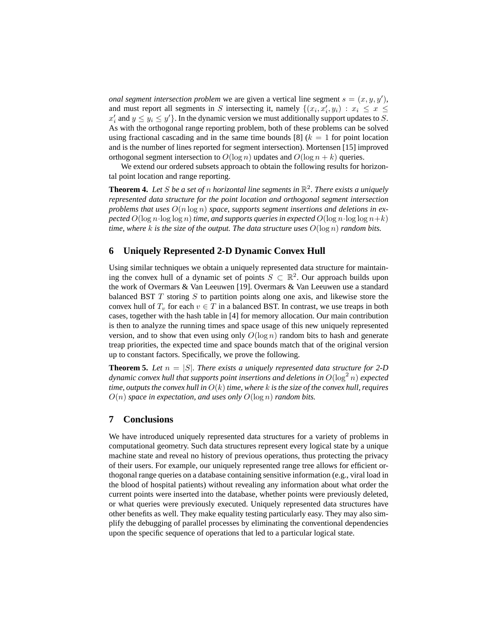*onal segment intersection problem* we are given a vertical line segment  $s = (x, y, y')$ , and must report all segments in S intersecting it, namely  $\{(x_i, x'_i, y_i) : x_i \leq x \leq x$  $x_i'$  and  $y \le y_i \le y'$ . In the dynamic version we must additionally support updates to S. As with the orthogonal range reporting problem, both of these problems can be solved using fractional cascading and in the same time bounds [8]  $(k = 1$  for point location and is the number of lines reported for segment intersection). Mortensen [15] improved orthogonal segment intersection to  $O(\log n)$  updates and  $O(\log n + k)$  queries.

We extend our ordered subsets approach to obtain the following results for horizontal point location and range reporting.

**Theorem 4.** Let S be a set of n horizontal line segments in  $\mathbb{R}^2$ . There exists a uniquely *represented data structure for the point location and orthogonal segment intersection problems that uses* O(n log n) *space, supports segment insertions and deletions in expected*  $O(\log n \cdot \log \log n)$  *time, and supports queries in expected*  $O(\log n \cdot \log \log n + k)$ *time, where* k *is the size of the output. The data structure uses*  $O(\log n)$  *random bits.* 

### **6 Uniquely Represented 2-D Dynamic Convex Hull**

Using similar techniques we obtain a uniquely represented data structure for maintaining the convex hull of a dynamic set of points  $S \subset \mathbb{R}^2$ . Our approach builds upon the work of Overmars & Van Leeuwen [19]. Overmars & Van Leeuwen use a standard balanced BST  $T$  storing  $S$  to partition points along one axis, and likewise store the convex hull of  $T_v$  for each  $v \in T$  in a balanced BST. In contrast, we use treaps in both cases, together with the hash table in [4] for memory allocation. Our main contribution is then to analyze the running times and space usage of this new uniquely represented version, and to show that even using only  $O(\log n)$  random bits to hash and generate treap priorities, the expected time and space bounds match that of the original version up to constant factors. Specifically, we prove the following.

**Theorem 5.** Let  $n = |S|$ . There exists a uniquely represented data structure for 2-D dynamic convex hull that supports point insertions and deletions in  $O(\log^2 n)$  expected *time, outputs the convex hull in* O(k) *time, where* k *is the size of the convex hull, requires*  $O(n)$  *space in expectation, and uses only*  $O(\log n)$  *random bits.* 

### **7 Conclusions**

We have introduced uniquely represented data structures for a variety of problems in computational geometry. Such data structures represent every logical state by a unique machine state and reveal no history of previous operations, thus protecting the privacy of their users. For example, our uniquely represented range tree allows for efficient orthogonal range queries on a database containing sensitive information (e.g., viral load in the blood of hospital patients) without revealing any information about what order the current points were inserted into the database, whether points were previously deleted, or what queries were previously executed. Uniquely represented data structures have other benefits as well. They make equality testing particularly easy. They may also simplify the debugging of parallel processes by eliminating the conventional dependencies upon the specific sequence of operations that led to a particular logical state.